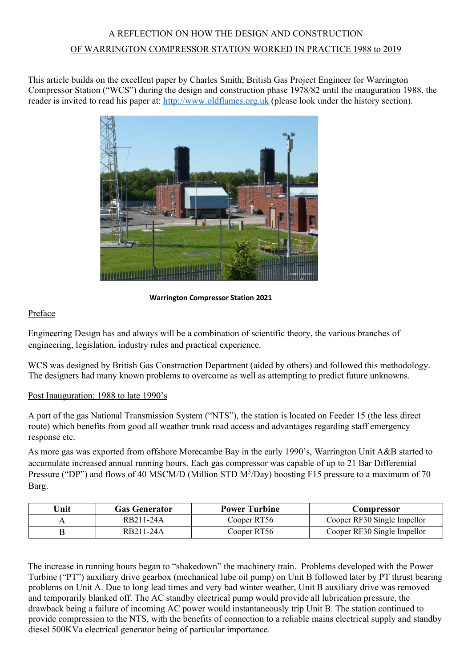# A REFLECTION ON HOW THE DESIGN AND CONSTRUCTION OF WARRINGTON COMPRESSOR STATION WORKED IN PRACTICE 1988 to 2019

This article builds on the excellent paper by Charles Smith; British Gas Project Engineer for Warrington Compressor Station ("WCS") during the design and construction phase 1978/82 until the inauguration 1988, the reader is invited to read his paper at: [http://www.oldflames.org.uk](http://www.oldflames.org.uk/) (please look under the history section).



**Warrington Compressor Station 2021**

## Preface

Engineering Design has and always will be a combination of scientific theory, the various branches of engineering, legislation, industry rules and practical experience.

WCS was designed by British Gas Construction Department (aided by others) and followed this methodology. The designers had many known problems to overcome as well as attempting to predict future unknowns.

### Post Inauguration: 1988 to late 1990's

A part of the gas National Transmission System ("NTS"), the station is located on Feeder 15 (the less direct route) which benefits from good all weather trunk road access and advantages regarding staff emergency response etc.

As more gas was exported from offshore Morecambe Bay in the early 1990's, Warrington Unit A&B started to accumulate increased annual running hours. Each gas compressor was capable of up to 21 Bar Differential Pressure ("DP") and flows of 40 MSCM/D (Million STD M<sup>3</sup>/Day) boosting F15 pressure to a maximum of 70 Barg.

| Unit | <b>Gas Generator</b> | <b>Power Turbine</b> | Compressor                  |
|------|----------------------|----------------------|-----------------------------|
|      | RB211-24A            | Cooper RT56          | Cooper RF30 Single Impellor |
|      | RB211-24A            | Cooper RT56          | Cooper RF30 Single Impellor |

The increase in running hours began to "shakedown" the machinery train. Problems developed with the Power Turbine ("PT") auxiliary drive gearbox (mechanical lube oil pump) on Unit B followed later by PT thrust bearing problems on Unit A. Due to long lead times and very bad winter weather, Unit B auxiliary drive was removed and temporarily blanked off. The AC standby electrical pump would provide all lubrication pressure, the drawback being a failure of incoming AC power would instantaneously trip Unit B. The station continued to provide compression to the NTS, with the benefits of connection to a reliable mains electrical supply and standby diesel 500KVa electrical generator being of particular importance.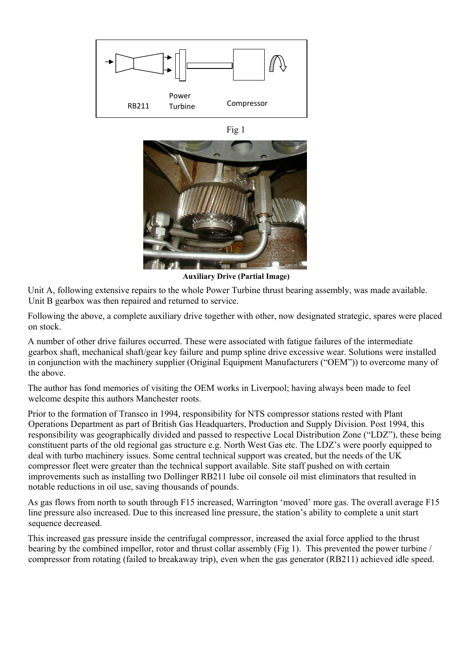





**Auxiliary Drive (Partial Image)**

Unit A, following extensive repairs to the whole Power Turbine thrust bearing assembly, was made available. Unit B gearbox was then repaired and returned to service.

Following the above, a complete auxiliary drive together with other, now designated strategic, spares were placed on stock.

A number of other drive failures occurred. These were associated with fatigue failures of the intermediate gearbox shaft, mechanical shaft/gear key failure and pump spline drive excessive wear. Solutions were installed in conjunction with the machinery supplier (Original Equipment Manufacturers ("OEM")) to overcome many of the above.

The author has fond memories of visiting the OEM works in Liverpool; having always been made to feel welcome despite this authors Manchester roots.

Prior to the formation of Transco in 1994, responsibility for NTS compressor stations rested with Plant Operations Department as part of British Gas Headquarters, Production and Supply Division. Post 1994, this responsibility was geographically divided and passed to respective Local Distribution Zone ("LDZ"), these being constituent parts of the old regional gas structure e.g. North West Gas etc. The LDZ's were poorly equipped to deal with turbo machinery issues. Some central technical support was created, but the needs of the UK compressor fleet were greater than the technical support available. Site staff pushed on with certain improvements such as installing two Dollinger RB211 lube oil console oil mist eliminators that resulted in notable reductions in oil use, saving thousands of pounds.

As gas flows from north to south through F15 increased, Warrington 'moved' more gas. The overall average F15 line pressure also increased. Due to this increased line pressure, the station's ability to complete a unit start sequence decreased.

This increased gas pressure inside the centrifugal compressor, increased the axial force applied to the thrust bearing by the combined impellor, rotor and thrust collar assembly (Fig 1). This prevented the power turbine / compressor from rotating (failed to breakaway trip), even when the gas generator (RB211) achieved idle speed.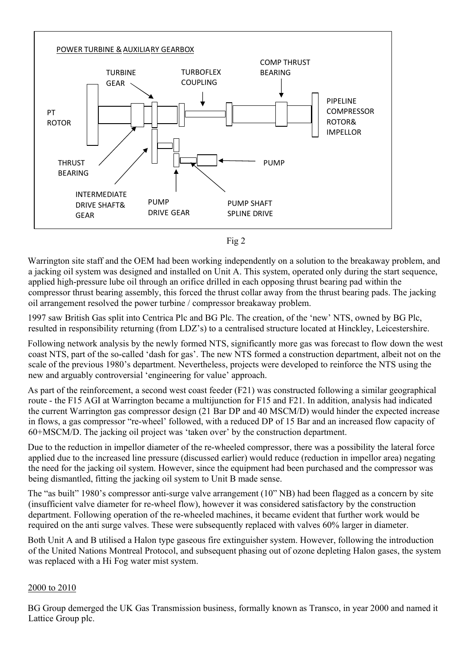



Warrington site staff and the OEM had been working independently on a solution to the breakaway problem, and a jacking oil system was designed and installed on Unit A. This system, operated only during the start sequence, applied high-pressure lube oil through an orifice drilled in each opposing thrust bearing pad within the compressor thrust bearing assembly, this forced the thrust collar away from the thrust bearing pads. The jacking oil arrangement resolved the power turbine / compressor breakaway problem.

1997 saw British Gas split into Centrica Plc and BG Plc. The creation, of the 'new' NTS, owned by BG Plc, resulted in responsibility returning (from LDZ's) to a centralised structure located at Hinckley, Leicestershire.

Following network analysis by the newly formed NTS, significantly more gas was forecast to flow down the west coast NTS, part of the so-called 'dash for gas'. The new NTS formed a construction department, albeit not on the scale of the previous 1980's department. Nevertheless, projects were developed to reinforce the NTS using the new and arguably controversial 'engineering for value' approach.

As part of the reinforcement, a second west coast feeder (F21) was constructed following a similar geographical route - the F15 AGI at Warrington became a multijunction for F15 and F21. In addition, analysis had indicated the current Warrington gas compressor design (21 Bar DP and 40 MSCM/D) would hinder the expected increase in flows, a gas compressor "re-wheel' followed, with a reduced DP of 15 Bar and an increased flow capacity of 60+MSCM/D. The jacking oil project was 'taken over' by the construction department.

Due to the reduction in impellor diameter of the re-wheeled compressor, there was a possibility the lateral force applied due to the increased line pressure (discussed earlier) would reduce (reduction in impellor area) negating the need for the jacking oil system. However, since the equipment had been purchased and the compressor was being dismantled, fitting the jacking oil system to Unit B made sense.

The "as built" 1980's compressor anti-surge valve arrangement (10" NB) had been flagged as a concern by site (insufficient valve diameter for re-wheel flow), however it was considered satisfactory by the construction department. Following operation of the re-wheeled machines, it became evident that further work would be required on the anti surge valves. These were subsequently replaced with valves 60% larger in diameter.

Both Unit A and B utilised a Halon type gaseous fire extinguisher system. However, following the introduction of the United Nations Montreal Protocol, and subsequent phasing out of ozone depleting Halon gases, the system was replaced with a Hi Fog water mist system.

#### 2000 to 2010

BG Group demerged the UK Gas Transmission business, formally known as Transco, in year 2000 and named it Lattice Group plc.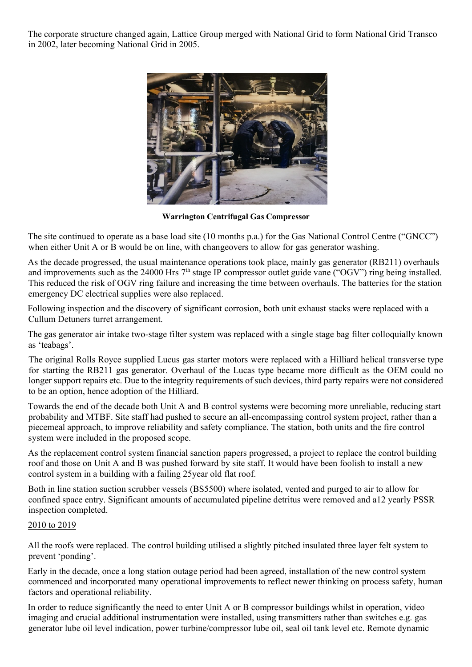The corporate structure changed again, Lattice Group merged with National Grid to form National Grid Transco in 2002, later becoming National Grid in 2005.



**Warrington Centrifugal Gas Compressor** 

The site continued to operate as a base load site (10 months p.a.) for the Gas National Control Centre ("GNCC") when either Unit A or B would be on line, with changeovers to allow for gas generator washing.

As the decade progressed, the usual maintenance operations took place, mainly gas generator (RB211) overhauls and improvements such as the 24000 Hrs  $7<sup>th</sup>$  stage IP compressor outlet guide vane ("OGV") ring being installed. This reduced the risk of OGV ring failure and increasing the time between overhauls. The batteries for the station emergency DC electrical supplies were also replaced.

Following inspection and the discovery of significant corrosion, both unit exhaust stacks were replaced with a Cullum Detuners turret arrangement.

The gas generator air intake two-stage filter system was replaced with a single stage bag filter colloquially known as 'teabags'.

The original Rolls Royce supplied Lucus gas starter motors were replaced with a Hilliard helical transverse type for starting the RB211 gas generator. Overhaul of the Lucas type became more difficult as the OEM could no longer support repairs etc. Due to the integrity requirements of such devices, third party repairs were not considered to be an option, hence adoption of the Hilliard.

Towards the end of the decade both Unit A and B control systems were becoming more unreliable, reducing start probability and MTBF. Site staff had pushed to secure an all-encompassing control system project, rather than a piecemeal approach, to improve reliability and safety compliance. The station, both units and the fire control system were included in the proposed scope.

As the replacement control system financial sanction papers progressed, a project to replace the control building roof and those on Unit A and B was pushed forward by site staff. It would have been foolish to install a new control system in a building with a failing 25year old flat roof.

Both in line station suction scrubber vessels (BS5500) where isolated, vented and purged to air to allow for confined space entry. Significant amounts of accumulated pipeline detritus were removed and a12 yearly PSSR inspection completed.

#### 2010 to 2019

All the roofs were replaced. The control building utilised a slightly pitched insulated three layer felt system to prevent 'ponding'.

Early in the decade, once a long station outage period had been agreed, installation of the new control system commenced and incorporated many operational improvements to reflect newer thinking on process safety, human factors and operational reliability.

In order to reduce significantly the need to enter Unit A or B compressor buildings whilst in operation, video imaging and crucial additional instrumentation were installed, using transmitters rather than switches e.g. gas generator lube oil level indication, power turbine/compressor lube oil, seal oil tank level etc. Remote dynamic